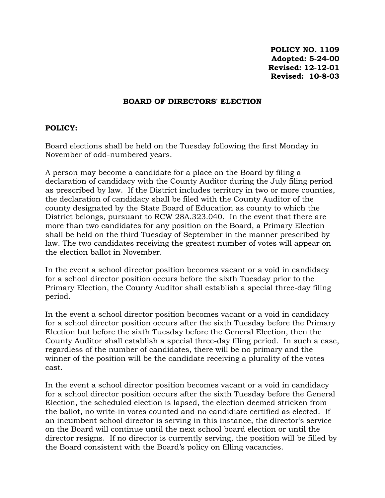**POLICY NO. 1109 Adopted: 5-24-00 Revised: 12-12-01 Revised: 10-8-03**

## **BOARD OF DIRECTORS' ELECTION**

## **POLICY:**

Board elections shall be held on the Tuesday following the first Monday in November of odd-numbered years.

A person may become a candidate for a place on the Board by filing a declaration of candidacy with the County Auditor during the July filing period as prescribed by law. If the District includes territory in two or more counties, the declaration of candidacy shall be filed with the County Auditor of the county designated by the State Board of Education as county to which the District belongs, pursuant to RCW 28A.323.040. In the event that there are more than two candidates for any position on the Board, a Primary Election shall be held on the third Tuesday of September in the manner prescribed by law. The two candidates receiving the greatest number of votes will appear on the election ballot in November.

In the event a school director position becomes vacant or a void in candidacy for a school director position occurs before the sixth Tuesday prior to the Primary Election, the County Auditor shall establish a special three-day filing period.

In the event a school director position becomes vacant or a void in candidacy for a school director position occurs after the sixth Tuesday before the Primary Election but before the sixth Tuesday before the General Election, then the County Auditor shall establish a special three-day filing period. In such a case, regardless of the number of candidates, there will be no primary and the winner of the position will be the candidate receiving a plurality of the votes cast.

In the event a school director position becomes vacant or a void in candidacy for a school director position occurs after the sixth Tuesday before the General Election, the scheduled election is lapsed, the election deemed stricken from the ballot, no write-in votes counted and no candidiate certified as elected. If an incumbent school director is serving in this instance, the director's service on the Board will continue until the next school board election or until the director resigns. If no director is currently serving, the position will be filled by the Board consistent with the Board's policy on filling vacancies.